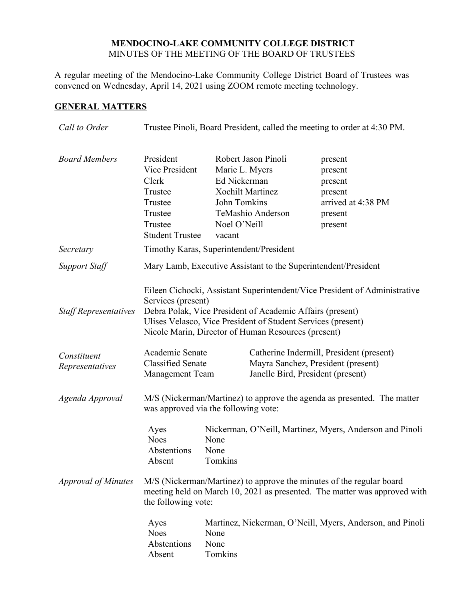### **MENDOCINO-LAKE COMMUNITY COLLEGE DISTRICT** MINUTES OF THE MEETING OF THE BOARD OF TRUSTEES

A regular meeting of the Mendocino-Lake Community College District Board of Trustees was convened on Wednesday, April 14, 2021 using ZOOM remote meeting technology.

## **GENERAL MATTERS**

| Call to Order                  | Trustee Pinoli, Board President, called the meeting to order at 4:30 PM.                                                                                                                                                                                                             |                                                                                      |                                                                     |                                                                                                                     |  |
|--------------------------------|--------------------------------------------------------------------------------------------------------------------------------------------------------------------------------------------------------------------------------------------------------------------------------------|--------------------------------------------------------------------------------------|---------------------------------------------------------------------|---------------------------------------------------------------------------------------------------------------------|--|
| <b>Board Members</b>           | President<br>Vice President<br>Clerk<br>Trustee<br>Trustee<br>Trustee<br>Trustee<br><b>Student Trustee</b>                                                                                                                                                                           | Marie L. Myers<br>Ed Nickerman<br>John Tomkins<br>Noel O'Neill<br>vacant             | Robert Jason Pinoli<br><b>Xochilt Martinez</b><br>TeMashio Anderson | present<br>present<br>present<br>present<br>arrived at 4:38 PM<br>present<br>present                                |  |
| Secretary                      | Timothy Karas, Superintendent/President                                                                                                                                                                                                                                              |                                                                                      |                                                                     |                                                                                                                     |  |
| <b>Support Staff</b>           | Mary Lamb, Executive Assistant to the Superintendent/President                                                                                                                                                                                                                       |                                                                                      |                                                                     |                                                                                                                     |  |
| <b>Staff Representatives</b>   | Eileen Cichocki, Assistant Superintendent/Vice President of Administrative<br>Services (present)<br>Debra Polak, Vice President of Academic Affairs (present)<br>Ulises Velasco, Vice President of Student Services (present)<br>Nicole Marin, Director of Human Resources (present) |                                                                                      |                                                                     |                                                                                                                     |  |
| Constituent<br>Representatives | Academic Senate<br><b>Classified Senate</b><br>Management Team                                                                                                                                                                                                                       |                                                                                      |                                                                     | Catherine Indermill, President (present)<br>Mayra Sanchez, President (present)<br>Janelle Bird, President (present) |  |
| Agenda Approval                | M/S (Nickerman/Martinez) to approve the agenda as presented. The matter<br>was approved via the following vote:                                                                                                                                                                      |                                                                                      |                                                                     |                                                                                                                     |  |
|                                | Ayes<br><b>Noes</b><br>Abstentions<br>Absent                                                                                                                                                                                                                                         | Nickerman, O'Neill, Martinez, Myers, Anderson and Pinoli<br>None<br>None<br>Tomkins  |                                                                     |                                                                                                                     |  |
| <b>Approval of Minutes</b>     | M/S (Nickerman/Martinez) to approve the minutes of the regular board<br>meeting held on March 10, 2021 as presented. The matter was approved with<br>the following vote:                                                                                                             |                                                                                      |                                                                     |                                                                                                                     |  |
|                                | Ayes<br><b>Noes</b><br>Abstentions<br>Absent                                                                                                                                                                                                                                         | Martinez, Nickerman, O'Neill, Myers, Anderson, and Pinoli<br>None<br>None<br>Tomkins |                                                                     |                                                                                                                     |  |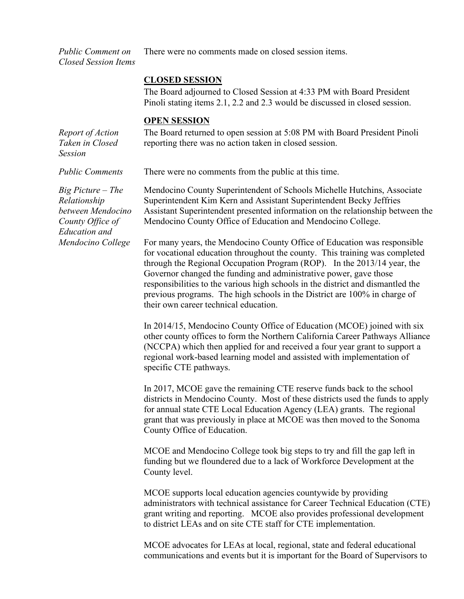*Public Comment on Closed Session Items* There were no comments made on closed session items.

#### **CLOSED SESSION**

The Board adjourned to Closed Session at 4:33 PM with Board President Pinoli stating items 2.1, 2.2 and 2.3 would be discussed in closed session.

#### **OPEN SESSION**

*Report of Action Taken in Closed Session* The Board returned to open session at 5:08 PM with Board President Pinoli reporting there was no action taken in closed session.

*Big Picture – The Relationship between Mendocino County Office of Education and Mendocino College*

*Public Comments* There were no comments from the public at this time.

Mendocino County Superintendent of Schools Michelle Hutchins, Associate Superintendent Kim Kern and Assistant Superintendent Becky Jeffries Assistant Superintendent presented information on the relationship between the Mendocino County Office of Education and Mendocino College.

For many years, the Mendocino County Office of Education was responsible for vocational education throughout the county. This training was completed through the Regional Occupation Program (ROP). In the 2013/14 year, the Governor changed the funding and administrative power, gave those responsibilities to the various high schools in the district and dismantled the previous programs. The high schools in the District are 100% in charge of their own career technical education.

In 2014/15, Mendocino County Office of Education (MCOE) joined with six other county offices to form the Northern California Career Pathways Alliance (NCCPA) which then applied for and received a four year grant to support a regional work-based learning model and assisted with implementation of specific CTE pathways.

In 2017, MCOE gave the remaining CTE reserve funds back to the school districts in Mendocino County. Most of these districts used the funds to apply for annual state CTE Local Education Agency (LEA) grants. The regional grant that was previously in place at MCOE was then moved to the Sonoma County Office of Education.

MCOE and Mendocino College took big steps to try and fill the gap left in funding but we floundered due to a lack of Workforce Development at the County level.

MCOE supports local education agencies countywide by providing administrators with technical assistance for Career Technical Education (CTE) grant writing and reporting. MCOE also provides professional development to district LEAs and on site CTE staff for CTE implementation.

MCOE advocates for LEAs at local, regional, state and federal educational communications and events but it is important for the Board of Supervisors to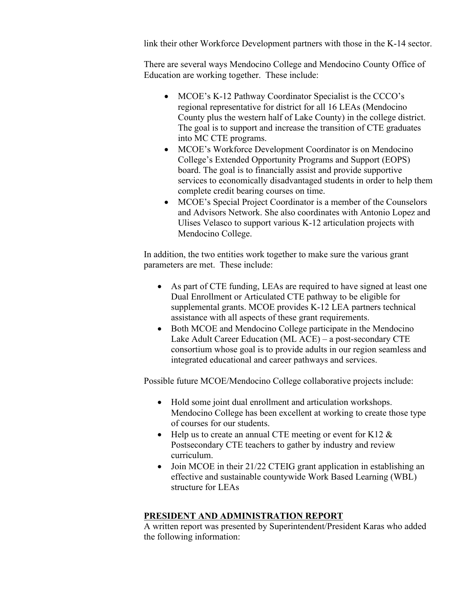link their other Workforce Development partners with those in the K-14 sector.

There are several ways Mendocino College and Mendocino County Office of Education are working together. These include:

- MCOE's K-12 Pathway Coordinator Specialist is the CCCO's regional representative for district for all 16 LEAs (Mendocino County plus the western half of Lake County) in the college district. The goal is to support and increase the transition of CTE graduates into MC CTE programs.
- MCOE's Workforce Development Coordinator is on Mendocino College's Extended Opportunity Programs and Support (EOPS) board. The goal is to financially assist and provide supportive services to economically disadvantaged students in order to help them complete credit bearing courses on time.
- MCOE's Special Project Coordinator is a member of the Counselors and Advisors Network. She also coordinates with Antonio Lopez and Ulises Velasco to support various K-12 articulation projects with Mendocino College.

In addition, the two entities work together to make sure the various grant parameters are met. These include:

- As part of CTE funding, LEAs are required to have signed at least one Dual Enrollment or Articulated CTE pathway to be eligible for supplemental grants. MCOE provides K-12 LEA partners technical assistance with all aspects of these grant requirements.
- Both MCOE and Mendocino College participate in the Mendocino Lake Adult Career Education (ML ACE) – a post-secondary CTE consortium whose goal is to provide adults in our region seamless and integrated educational and career pathways and services.

Possible future MCOE/Mendocino College collaborative projects include:

- Hold some joint dual enrollment and articulation workshops. Mendocino College has been excellent at working to create those type of courses for our students.
- Help us to create an annual CTE meeting or event for K12  $\&$ Postsecondary CTE teachers to gather by industry and review curriculum.
- Join MCOE in their 21/22 CTEIG grant application in establishing an effective and sustainable countywide Work Based Learning (WBL) structure for LEAs

### **PRESIDENT AND ADMINISTRATION REPORT**

A written report was presented by Superintendent/President Karas who added the following information: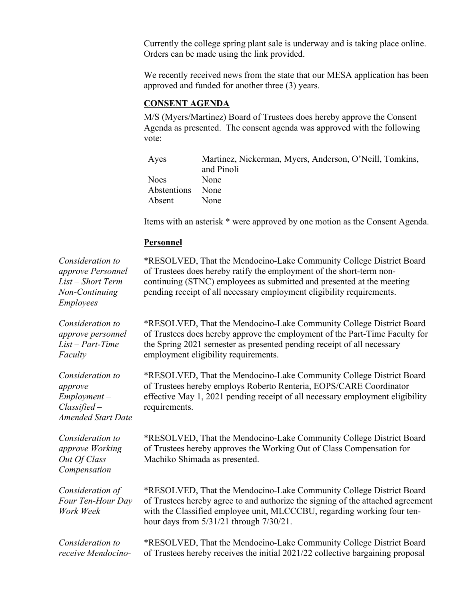Currently the college spring plant sale is underway and is taking place online. Orders can be made using the link provided.

We recently received news from the state that our MESA application has been approved and funded for another three (3) years.

### **CONSENT AGENDA**

M/S (Myers/Martinez) Board of Trustees does hereby approve the Consent Agenda as presented. The consent agenda was approved with the following vote:

| Ayes             | Martinez, Nickerman, Myers, Anderson, O'Neill, Tomkins, |
|------------------|---------------------------------------------------------|
|                  | and Pinoli                                              |
| <b>Noes</b>      | <b>None</b>                                             |
| Abstentions None |                                                         |
| Absent           | <b>None</b>                                             |

Items with an asterisk \* were approved by one motion as the Consent Agenda.

### **Personnel**

*Consideration to approve Personnel List – Short Term Non-Continuing Employees* \*RESOLVED, That the Mendocino-Lake Community College District Board of Trustees does hereby ratify the employment of the short-term noncontinuing (STNC) employees as submitted and presented at the meeting pending receipt of all necessary employment eligibility requirements. *Consideration to approve personnel List – Part-Time Faculty* \*RESOLVED, That the Mendocino-Lake Community College District Board of Trustees does hereby approve the employment of the Part-Time Faculty for the Spring 2021 semester as presented pending receipt of all necessary employment eligibility requirements. *Consideration to approve Employment – Classified – Amended Start Date* \*RESOLVED, That the Mendocino-Lake Community College District Board of Trustees hereby employs Roberto Renteria, EOPS/CARE Coordinator effective May 1, 2021 pending receipt of all necessary employment eligibility requirements. *Consideration to approve Working Out Of Class Compensation* \*RESOLVED, That the Mendocino-Lake Community College District Board of Trustees hereby approves the Working Out of Class Compensation for Machiko Shimada as presented. *Consideration of Four Ten-Hour Day Work Week* \*RESOLVED, That the Mendocino-Lake Community College District Board of Trustees hereby agree to and authorize the signing of the attached agreement with the Classified employee unit, MLCCCBU, regarding working four tenhour days from 5/31/21 through 7/30/21. *Consideration to receive Mendocino-* \*RESOLVED, That the Mendocino-Lake Community College District Board of Trustees hereby receives the initial 2021/22 collective bargaining proposal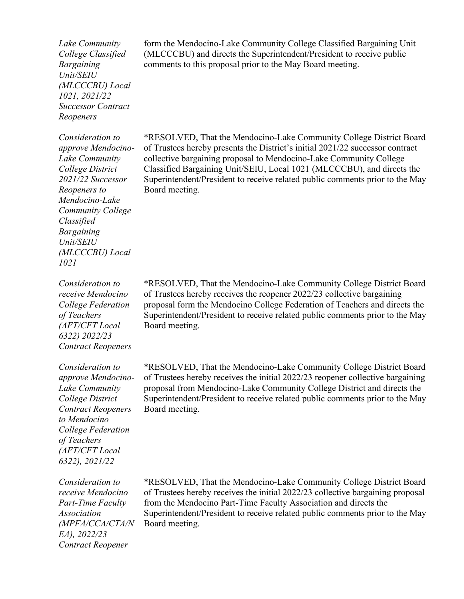*Lake Community College Classified Bargaining Unit/SEIU (MLCCCBU) Local 1021, 2021/22 Successor Contract Reopeners*

*Consideration to approve Mendocino-Lake Community College District 2021/22 Successor Reopeners to Mendocino-Lake Community College Classified Bargaining Unit/SEIU (MLCCCBU) Local 1021*

*Consideration to receive Mendocino College Federation of Teachers (AFT/CFT Local 6322) 2022/23 Contract Reopeners*

*Consideration to approve Mendocino-Lake Community College District Contract Reopeners to Mendocino College Federation of Teachers (AFT/CFT Local 6322), 2021/22*

*Consideration to receive Mendocino Part-Time Faculty Association (MPFA/CCA/CTA/N EA), 2022/23 Contract Reopener*

form the Mendocino-Lake Community College Classified Bargaining Unit (MLCCCBU) and directs the Superintendent/President to receive public comments to this proposal prior to the May Board meeting.

\*RESOLVED, That the Mendocino-Lake Community College District Board of Trustees hereby presents the District's initial 2021/22 successor contract collective bargaining proposal to Mendocino-Lake Community College Classified Bargaining Unit/SEIU, Local 1021 (MLCCCBU), and directs the Superintendent/President to receive related public comments prior to the May Board meeting.

\*RESOLVED, That the Mendocino-Lake Community College District Board of Trustees hereby receives the reopener 2022/23 collective bargaining proposal form the Mendocino College Federation of Teachers and directs the Superintendent/President to receive related public comments prior to the May Board meeting.

\*RESOLVED, That the Mendocino-Lake Community College District Board of Trustees hereby receives the initial 2022/23 reopener collective bargaining proposal from Mendocino-Lake Community College District and directs the Superintendent/President to receive related public comments prior to the May Board meeting.

\*RESOLVED, That the Mendocino-Lake Community College District Board of Trustees hereby receives the initial 2022/23 collective bargaining proposal from the Mendocino Part-Time Faculty Association and directs the Superintendent/President to receive related public comments prior to the May Board meeting.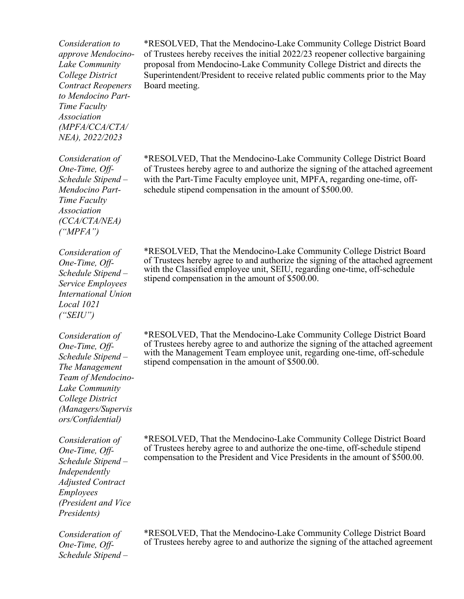*Consideration to approve Mendocino-Lake Community College District Contract Reopeners to Mendocino Part-Time Faculty Association (MPFA/CCA/CTA/ NEA), 2022/2023*

\*RESOLVED, That the Mendocino-Lake Community College District Board of Trustees hereby receives the initial 2022/23 reopener collective bargaining proposal from Mendocino-Lake Community College District and directs the Superintendent/President to receive related public comments prior to the May Board meeting.

\*RESOLVED, That the Mendocino-Lake Community College District Board of Trustees hereby agree to and authorize the signing of the attached agreement with the Part-Time Faculty employee unit, MPFA, regarding one-time, offschedule stipend compensation in the amount of \$500.00.

\*RESOLVED, That the Mendocino-Lake Community College District Board of Trustees hereby agree to and authorize the signing of the attached agreement with the Classified employee unit, SEIU, regarding one-time, off-schedule stipend compensation in the amount of \$500.00.

\*RESOLVED, That the Mendocino-Lake Community College District Board of Trustees hereby agree to and authorize the signing of the attached agreement with the Management Team employee unit, regarding one-time, off-schedule stipend compensation in the amount of \$500.00.

\*RESOLVED, That the Mendocino-Lake Community College District Board of Trustees hereby agree to and authorize the one-time, off-schedule stipend compensation to the President and Vice Presidents in the amount of \$500.00.

*Consideration of One-Time, Off-Schedule Stipend –* \*RESOLVED, That the Mendocino-Lake Community College District Board of Trustees hereby agree to and authorize the signing of the attached agreement

*One-Time, Off-Schedule Stipend – Mendocino Part-Time Faculty Association (CCA/CTA/NEA) ("MPFA")*

*Consideration of One-Time, Off-*

*Consideration of* 

*Schedule Stipend – Service Employees International Union Local 1021 ("SEIU") Consideration of* 

*One-Time, Off-Schedule Stipend – The Management Team of Mendocino-Lake Community College District (Managers/Supervis ors/Confidential)*

*Consideration of One-Time, Off-Schedule Stipend – Independently Adjusted Contract Employees (President and Vice Presidents)*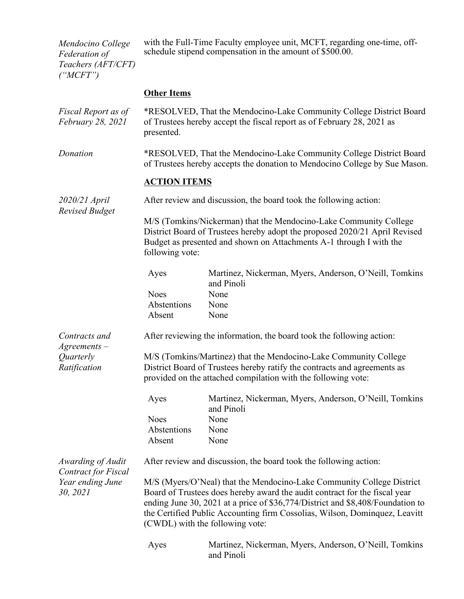*Mendocino College Federation of Teachers (AFT/CFT) ("MCFT")*

with the Full-Time Faculty employee unit, MCFT, regarding one-time, offschedule stipend compensation in the amount of \$500.00.

# **Other Items**

| Fiscal Report as of<br>February 28, 2021        | *RESOLVED, That the Mendocino-Lake Community College District Board<br>of Trustees hereby accept the fiscal report as of February 28, 2021 as<br>presented.                                                                                                                                                                                            |                                                                      |  |  |
|-------------------------------------------------|--------------------------------------------------------------------------------------------------------------------------------------------------------------------------------------------------------------------------------------------------------------------------------------------------------------------------------------------------------|----------------------------------------------------------------------|--|--|
| Donation                                        | *RESOLVED, That the Mendocino-Lake Community College District Board<br>of Trustees hereby accepts the donation to Mendocino College by Sue Mason.                                                                                                                                                                                                      |                                                                      |  |  |
|                                                 | <b>ACTION ITEMS</b>                                                                                                                                                                                                                                                                                                                                    |                                                                      |  |  |
| 2020/21 April<br><b>Revised Budget</b>          | After review and discussion, the board took the following action:                                                                                                                                                                                                                                                                                      |                                                                      |  |  |
|                                                 | M/S (Tomkins/Nickerman) that the Mendocino-Lake Community College<br>District Board of Trustees hereby adopt the proposed 2020/21 April Revised<br>Budget as presented and shown on Attachments A-1 through I with the<br>following vote:                                                                                                              |                                                                      |  |  |
|                                                 | Ayes                                                                                                                                                                                                                                                                                                                                                   | Martinez, Nickerman, Myers, Anderson, O'Neill, Tomkins<br>and Pinoli |  |  |
|                                                 | <b>Noes</b>                                                                                                                                                                                                                                                                                                                                            | None                                                                 |  |  |
|                                                 | Abstentions                                                                                                                                                                                                                                                                                                                                            | None                                                                 |  |  |
|                                                 | Absent                                                                                                                                                                                                                                                                                                                                                 | None                                                                 |  |  |
| Contracts and<br>$A$ greements $-$              | After reviewing the information, the board took the following action:                                                                                                                                                                                                                                                                                  |                                                                      |  |  |
| Quarterly<br>Ratification                       | M/S (Tomkins/Martinez) that the Mendocino-Lake Community College<br>District Board of Trustees hereby ratify the contracts and agreements as<br>provided on the attached compilation with the following vote:                                                                                                                                          |                                                                      |  |  |
|                                                 | Ayes                                                                                                                                                                                                                                                                                                                                                   | Martinez, Nickerman, Myers, Anderson, O'Neill, Tomkins<br>and Pinoli |  |  |
|                                                 | <b>Noes</b>                                                                                                                                                                                                                                                                                                                                            | None                                                                 |  |  |
|                                                 | Abstentions                                                                                                                                                                                                                                                                                                                                            | None                                                                 |  |  |
|                                                 | Absent                                                                                                                                                                                                                                                                                                                                                 | None                                                                 |  |  |
| Awarding of Audit<br><b>Contract for Fiscal</b> | After review and discussion, the board took the following action:                                                                                                                                                                                                                                                                                      |                                                                      |  |  |
| Year ending June<br>30, 2021                    | M/S (Myers/O'Neal) that the Mendocino-Lake Community College District<br>Board of Trustees does hereby award the audit contract for the fiscal year<br>ending June 30, 2021 at a price of \$36,774/District and \$8,408/Foundation to<br>the Certified Public Accounting firm Cossolias, Wilson, Dominquez, Leavitt<br>(CWDL) with the following vote: |                                                                      |  |  |
|                                                 | Ayes                                                                                                                                                                                                                                                                                                                                                   | Martinez, Nickerman, Myers, Anderson, O'Neill, Tomkins<br>and Pinoli |  |  |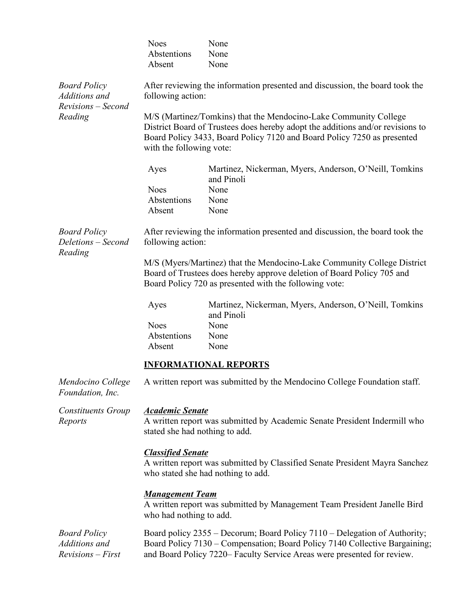|                                                                       | <b>Noes</b><br>Abstentions<br>Absent                                                                                                                                                                                                                      | None<br>None<br>None                                                 |  |  |
|-----------------------------------------------------------------------|-----------------------------------------------------------------------------------------------------------------------------------------------------------------------------------------------------------------------------------------------------------|----------------------------------------------------------------------|--|--|
| <b>Board Policy</b><br>Additions and<br>Revisions - Second<br>Reading | After reviewing the information presented and discussion, the board took the<br>following action:                                                                                                                                                         |                                                                      |  |  |
|                                                                       | M/S (Martinez/Tomkins) that the Mendocino-Lake Community College<br>District Board of Trustees does hereby adopt the additions and/or revisions to<br>Board Policy 3433, Board Policy 7120 and Board Policy 7250 as presented<br>with the following vote: |                                                                      |  |  |
|                                                                       | Ayes                                                                                                                                                                                                                                                      | Martinez, Nickerman, Myers, Anderson, O'Neill, Tomkins<br>and Pinoli |  |  |
|                                                                       | <b>Noes</b>                                                                                                                                                                                                                                               | None                                                                 |  |  |
|                                                                       | Abstentions                                                                                                                                                                                                                                               | None                                                                 |  |  |
|                                                                       | Absent                                                                                                                                                                                                                                                    | None                                                                 |  |  |
| <b>Board Policy</b><br>Deletions - Second<br>Reading                  | After reviewing the information presented and discussion, the board took the<br>following action:                                                                                                                                                         |                                                                      |  |  |
|                                                                       | M/S (Myers/Martinez) that the Mendocino-Lake Community College District<br>Board of Trustees does hereby approve deletion of Board Policy 705 and<br>Board Policy 720 as presented with the following vote:                                               |                                                                      |  |  |
|                                                                       | Ayes                                                                                                                                                                                                                                                      | Martinez, Nickerman, Myers, Anderson, O'Neill, Tomkins<br>and Pinoli |  |  |
|                                                                       | <b>Noes</b><br>Abstentions<br>Absent                                                                                                                                                                                                                      | None<br>None<br>None                                                 |  |  |
|                                                                       | <b>INFORMATIONAL REPORTS</b>                                                                                                                                                                                                                              |                                                                      |  |  |
| Mendocino College<br>Foundation, Inc.                                 | A written report was submitted by the Mendocino College Foundation staff.                                                                                                                                                                                 |                                                                      |  |  |
| <b>Constituents Group</b><br>Reports                                  | <b>Academic Senate</b><br>A written report was submitted by Academic Senate President Indermill who<br>stated she had nothing to add.                                                                                                                     |                                                                      |  |  |
|                                                                       | <b>Classified Senate</b><br>A written report was submitted by Classified Senate President Mayra Sanchez<br>who stated she had nothing to add.                                                                                                             |                                                                      |  |  |
|                                                                       | <b>Management Team</b><br>A written report was submitted by Management Team President Janelle Bird<br>who had nothing to add.                                                                                                                             |                                                                      |  |  |
| <b>Board Policy</b><br>Additions and<br><b>Revisions</b> - First      | Board policy 2355 – Decorum; Board Policy 7110 – Delegation of Authority;<br>Board Policy 7130 - Compensation; Board Policy 7140 Collective Bargaining;<br>and Board Policy 7220– Faculty Service Areas were presented for review.                        |                                                                      |  |  |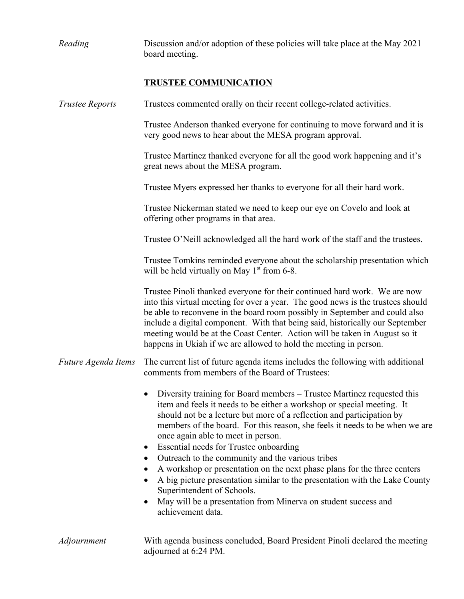| Reading                | Discussion and/or adoption of these policies will take place at the May 2021<br>board meeting.                                                                                                                                                                                                                                                                                                                                                                                                                                                                                                                                                                                                                                                                      |  |  |  |
|------------------------|---------------------------------------------------------------------------------------------------------------------------------------------------------------------------------------------------------------------------------------------------------------------------------------------------------------------------------------------------------------------------------------------------------------------------------------------------------------------------------------------------------------------------------------------------------------------------------------------------------------------------------------------------------------------------------------------------------------------------------------------------------------------|--|--|--|
|                        | <b>TRUSTEE COMMUNICATION</b>                                                                                                                                                                                                                                                                                                                                                                                                                                                                                                                                                                                                                                                                                                                                        |  |  |  |
| <b>Trustee Reports</b> | Trustees commented orally on their recent college-related activities.                                                                                                                                                                                                                                                                                                                                                                                                                                                                                                                                                                                                                                                                                               |  |  |  |
|                        | Trustee Anderson thanked everyone for continuing to move forward and it is<br>very good news to hear about the MESA program approval.                                                                                                                                                                                                                                                                                                                                                                                                                                                                                                                                                                                                                               |  |  |  |
|                        | Trustee Martinez thanked everyone for all the good work happening and it's<br>great news about the MESA program.                                                                                                                                                                                                                                                                                                                                                                                                                                                                                                                                                                                                                                                    |  |  |  |
|                        | Trustee Myers expressed her thanks to everyone for all their hard work.                                                                                                                                                                                                                                                                                                                                                                                                                                                                                                                                                                                                                                                                                             |  |  |  |
|                        | Trustee Nickerman stated we need to keep our eye on Covelo and look at<br>offering other programs in that area.                                                                                                                                                                                                                                                                                                                                                                                                                                                                                                                                                                                                                                                     |  |  |  |
|                        | Trustee O'Neill acknowledged all the hard work of the staff and the trustees.                                                                                                                                                                                                                                                                                                                                                                                                                                                                                                                                                                                                                                                                                       |  |  |  |
|                        | Trustee Tomkins reminded everyone about the scholarship presentation which<br>will be held virtually on May $1st$ from 6-8.                                                                                                                                                                                                                                                                                                                                                                                                                                                                                                                                                                                                                                         |  |  |  |
|                        | Trustee Pinoli thanked everyone for their continued hard work. We are now<br>into this virtual meeting for over a year. The good news is the trustees should<br>be able to reconvene in the board room possibly in September and could also<br>include a digital component. With that being said, historically our September<br>meeting would be at the Coast Center. Action will be taken in August so it<br>happens in Ukiah if we are allowed to hold the meeting in person.                                                                                                                                                                                                                                                                                     |  |  |  |
| Future Agenda Items    | The current list of future agenda items includes the following with additional<br>comments from members of the Board of Trustees:                                                                                                                                                                                                                                                                                                                                                                                                                                                                                                                                                                                                                                   |  |  |  |
|                        | Diversity training for Board members – Trustee Martinez requested this<br>$\bullet$<br>item and feels it needs to be either a workshop or special meeting. It<br>should not be a lecture but more of a reflection and participation by<br>members of the board. For this reason, she feels it needs to be when we are<br>once again able to meet in person.<br>Essential needs for Trustee onboarding<br>$\bullet$<br>Outreach to the community and the various tribes<br>$\bullet$<br>A workshop or presentation on the next phase plans for the three centers<br>A big picture presentation similar to the presentation with the Lake County<br>Superintendent of Schools.<br>May will be a presentation from Minerva on student success and<br>achievement data. |  |  |  |
| Adjournment            | With agenda business concluded, Board President Pinoli declared the meeting<br>adjourned at 6:24 PM.                                                                                                                                                                                                                                                                                                                                                                                                                                                                                                                                                                                                                                                                |  |  |  |